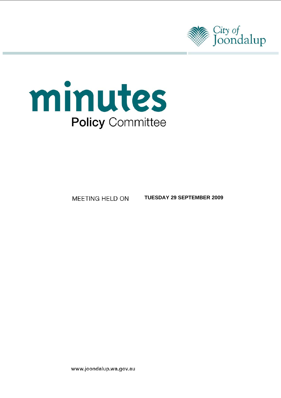



 **TUESDAY 29 SEPTEMBER 2009** 

www.joondalup.wa.gov.au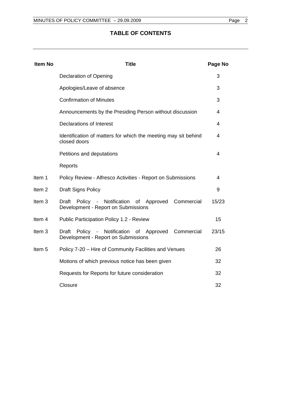# **TABLE OF CONTENTS**

| <b>Item No</b>    | <b>Title</b>                                                                                          | Page No |  |
|-------------------|-------------------------------------------------------------------------------------------------------|---------|--|
|                   | <b>Declaration of Opening</b>                                                                         | 3       |  |
|                   | Apologies/Leave of absence                                                                            | 3       |  |
|                   | <b>Confirmation of Minutes</b>                                                                        | 3       |  |
|                   | Announcements by the Presiding Person without discussion                                              | 4       |  |
|                   | <b>Declarations of Interest</b>                                                                       | 4       |  |
|                   | Identification of matters for which the meeting may sit behind<br>closed doors                        |         |  |
|                   | Petitions and deputations                                                                             | 4       |  |
|                   | Reports                                                                                               |         |  |
| Item 1            | Policy Review - Alfresco Activities - Report on Submissions                                           |         |  |
| Item <sub>2</sub> | <b>Draft Signs Policy</b>                                                                             |         |  |
| Item <sub>3</sub> | Policy - Notification of Approved Commercial<br>Draft<br>Development - Report on Submissions          | 15/23   |  |
| Item 4            | Public Participation Policy 1.2 - Review                                                              |         |  |
| Item <sub>3</sub> | - Notification<br>Commercial<br>Draft<br>Policy<br>of Approved<br>Development - Report on Submissions | 23/15   |  |
| Item <sub>5</sub> | Policy 7-20 - Hire of Community Facilities and Venues                                                 | 26      |  |
|                   | Motions of which previous notice has been given                                                       | 32      |  |
|                   | Requests for Reports for future consideration                                                         | 32      |  |
|                   | Closure                                                                                               | 32      |  |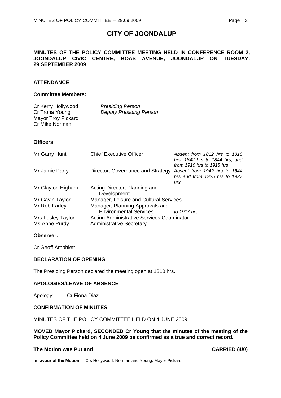# **CITY OF JOONDALUP**

# <span id="page-2-0"></span>**MINUTES OF THE POLICY COMMITTEE MEETING HELD IN CONFERENCE ROOM 2, JOONDALUP CIVIC CENTRE, BOAS AVENUE, JOONDALUP ON TUESDAY, 29 SEPTEMBER 2009**

# **ATTENDANCE**

#### **Committee Members:**

| Cr Kerry Hollywood | <b>Presiding Person</b>        |
|--------------------|--------------------------------|
| Cr Trona Young     | <b>Deputy Presiding Person</b> |
| Mayor Troy Pickard |                                |
| Cr Mike Norman     |                                |

# **Officers:**

| Mr Garry Hunt                      | <b>Chief Executive Officer</b>                                                       | Absent from 1812 hrs to 1816<br>hrs; 1842 hrs to 1844 hrs; and<br>from 1910 hrs to 1915 hrs |
|------------------------------------|--------------------------------------------------------------------------------------|---------------------------------------------------------------------------------------------|
| Mr Jamie Parry                     | Director, Governance and Strategy                                                    | Absent from 1942 hrs to 1844<br>hrs and from 1925 hrs to 1927<br>hrs                        |
| Mr Clayton Higham                  | Acting Director, Planning and<br>Development                                         |                                                                                             |
| Mr Gavin Taylor                    | Manager, Leisure and Cultural Services                                               |                                                                                             |
| Mr Rob Farley                      | Manager, Planning Approvals and<br><b>Environmental Services</b>                     | to $1917$ hrs                                                                               |
| Mrs Lesley Taylor<br>Ms Anne Purdy | <b>Acting Administrative Services Coordinator</b><br><b>Administrative Secretary</b> |                                                                                             |

#### **Observer:**

Cr Geoff Amphlett

# **DECLARATION OF OPENING**

The Presiding Person declared the meeting open at 1810 hrs.

# **APOLOGIES/LEAVE OF ABSENCE**

Apology: Cr Fiona Diaz

#### **CONFIRMATION OF MINUTES**

#### MINUTES OF THE POLICY COMMITTEE HELD ON 4 JUNE 2009

**MOVED Mayor Pickard, SECONDED Cr Young that the minutes of the meeting of the Policy Committee held on 4 June 2009 be confirmed as a true and correct record.** 

# The Motion was Put and **CARRIED** (4/0)

**In favour of the Motion:** Crs Hollywood, Norman and Young, Mayor Pickard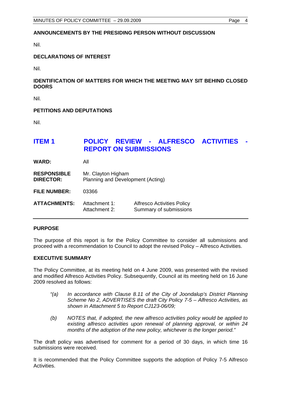# <span id="page-3-0"></span>**ANNOUNCEMENTS BY THE PRESIDING PERSON WITHOUT DISCUSSION**

Nil.

# **DECLARATIONS OF INTEREST**

Nil.

# **IDENTIFICATION OF MATTERS FOR WHICH THE MEETING MAY SIT BEHIND CLOSED DOORS**

Nil.

# **PETITIONS AND DEPUTATIONS**

Nil.

# **ITEM 1 POLICY REVIEW - ALFRESCO ACTIVITIES REPORT ON SUBMISSIONS**

**WARD:** All

| <b>RESPONSIBLE</b> | Mr. Clayton Higham                |
|--------------------|-----------------------------------|
| <b>DIRECTOR:</b>   | Planning and Development (Acting) |

**FILE NUMBER:** 03366

| <b>ATTACHMENTS:</b> | Attachment 1: | <b>Alfresco Activities Policy</b> |
|---------------------|---------------|-----------------------------------|
|                     | Attachment 2: | Summary of submissions            |

#### **PURPOSE**

The purpose of this report is for the Policy Committee to consider all submissions and proceed with a recommendation to Council to adopt the revised Policy – Alfresco Activities.

#### **EXECUTIVE SUMMARY**

The Policy Committee, at its meeting held on 4 June 2009, was presented with the revised and modified Alfresco Activities Policy. Subsequently, Council at its meeting held on 16 June 2009 resolved as follows:

- *"(a) In accordance with Clause 8.11 of the City of Joondalup's District Planning Scheme No 2, ADVERTISES the draft City Policy 7-5 – Alfresco Activities, as shown in Attachment 5 to Report CJ123-06/09;*
- *(b) NOTES that, if adopted, the new alfresco activities policy would be applied to existing alfresco activities upon renewal of planning approval, or within 24 months of the adoption of the new policy, whichever is the longer period."*

The draft policy was advertised for comment for a period of 30 days, in which time 16 submissions were received.

It is recommended that the Policy Committee supports the adoption of Policy 7-5 Alfresco Activities.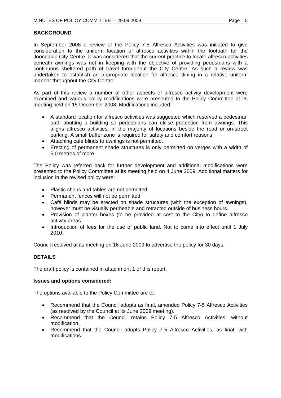# **BACKGROUND**

In September 2008 a review of the Policy 7-5 Alfresco Activities was initiated to give consideration to the uniform location of alfresco activities within the footpath for the Joondalup City Centre. It was considered that the current practice to locate alfresco activities beneath awnings was not in keeping with the objective of providing pedestrians with a continuous sheltered path of travel throughout the City Centre. As such a review was undertaken to establish an appropriate location for alfresco dining in a relative uniform manner throughout the City Centre.

As part of this review a number of other aspects of alfresco activity development were examined and various policy modifications were presented to the Policy Committee at its meeting held on 15 December 2008. Modifications included:

- A standard location for alfresco activities was suggested which reserved a pedestrian path abutting a building so pedestrians can utilise protection from awnings. This aligns alfresco activities, in the majority of locations beside the road or on-street parking. A small buffer zone is required for safety and comfort reasons.
- Attaching café blinds to awnings is not permitted.
- Erecting of permanent shade structures is only permitted on verges with a width of 5.0 metres of more.

The Policy was referred back for further development and additional modifications were presented to the Policy Committee at its meeting held on 4 June 2009. Additional matters for inclusion in the revised policy were:

- Plastic chairs and tables are not permitted
- Permanent fences will not be permitted
- Café blinds may be erected on shade structures (with the exception of awnings), however must be visually permeable and retracted outside of business hours.
- Provision of planter boxes (to be provided at cost to the City) to define alfresco activity areas.
- Introduction of fees for the use of public land. Not to come into effect until 1 July 2010.

Council resolved at its meeting on 16 June 2009 to advertise the policy for 30 days.

# **DETAILS**

The draft policy is contained in attachment 1 of this report.

#### **Issues and options considered:**

The options available to the Policy Committee are to:

- Recommend that the Council adopts as final, amended Policy 7-5 Alfresco Activities (as resolved by the Council at its June 2009 meeting).
- Recommend that the Council retains Policy 7-5 Alfresco Activities, without modification.
- Recommend that the Council adopts Policy 7-5 Alfresco Activities, as final, with modifications.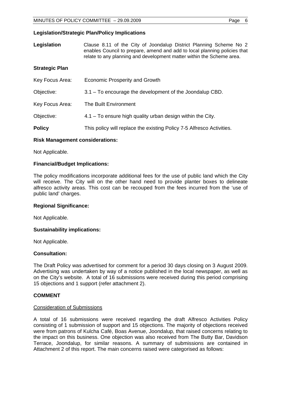# **Legislation/Strategic Plan/Policy Implications**

| Legislation           | Clause 8.11 of the City of Joondalup District Planning Scheme No 2<br>enables Council to prepare, amend and add to local planning policies that<br>relate to any planning and development matter within the Scheme area. |
|-----------------------|--------------------------------------------------------------------------------------------------------------------------------------------------------------------------------------------------------------------------|
| <b>Strategic Plan</b> |                                                                                                                                                                                                                          |
| Key Focus Area:       | <b>Economic Prosperity and Growth</b>                                                                                                                                                                                    |
| Objective:            | 3.1 – To encourage the development of the Joondalup CBD.                                                                                                                                                                 |
| Key Focus Area:       | The Built Environment                                                                                                                                                                                                    |
| Objective:            | 4.1 – To ensure high quality urban design within the City.                                                                                                                                                               |
| <b>Policy</b>         | This policy will replace the existing Policy 7-5 Alfresco Activities.                                                                                                                                                    |

# **Risk Management considerations:**

Not Applicable.

# **Financial/Budget Implications:**

The policy modifications incorporate additional fees for the use of public land which the City will receive. The City will on the other hand need to provide planter boxes to delineate alfresco activity areas. This cost can be recouped from the fees incurred from the 'use of public land' charges.

#### **Regional Significance:**

Not Applicable.

# **Sustainability implications:**

Not Applicable.

#### **Consultation:**

The Draft Policy was advertised for comment for a period 30 days closing on 3 August 2009. Advertising was undertaken by way of a notice published in the local newspaper, as well as on the City's website. A total of 16 submissions were received during this period comprising 15 objections and 1 support (refer attachment 2).

# **COMMENT**

#### Consideration of Submissions

A total of 16 submissions were received regarding the draft Alfresco Activities Policy consisting of 1 submission of support and 15 objections. The majority of objections received were from patrons of Kulcha Café, Boas Avenue, Joondalup, that raised concerns relating to the impact on this business. One objection was also received from The Butty Bar, Davidson Terrace, Joondalup, for similar reasons. A summary of submissions are contained in Attachment 2 of this report. The main concerns raised were categorised as follows: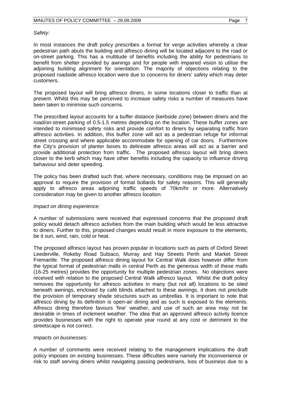# *Safety:*

In most instances the draft policy prescribes a format for verge activities whereby a clear pedestrian path abuts the building and alfresco dining will be located adjacent to the road or on-street parking. This has a multitude of benefits including the ability for pedestrians to benefit from shelter provided by awnings and for people with impaired vision to utilise the adjoining building alignment for orientation. The majority of objections relating to the proposed roadside alfresco location were due to concerns for diners' safety which may deter customers.

The proposed layout will bring alfresco diners, in some locations closer to traffic than at present. Whilst this may be perceived to increase safety risks a number of measures have been taken to minimise such concerns.

The prescribed layout accounts for a buffer distance (kerbside zone) between diners and the road/on-street parking of 0.5-1.5 metres depending on the location. These buffer zones are intended to minimised safety risks and provide comfort to diners by separating traffic from alfresco activities. In addition, this buffer zone will act as a pedestrian refuge for informal street crossing and where applicable accommodate for opening of car doors. Furthermore the City's provision of planter boxes to delineate alfresco areas will act as a barrier and provide additional protection from traffic. The proposed alfresco layout will bring diners closer to the kerb which may have other benefits including the capacity to influence driving behaviour and deter speeding.

The policy has been drafted such that, where necessary, conditions may be imposed on an approval to require the provision of formal bollards for safety reasons. This will generally apply to alfresco areas adjoining traffic speeds of 70km/hr or more. Alternatively consideration may be given to another alfresco location.

#### *Impact on dining experience:*

A number of submissions were received that expressed concerns that the proposed draft policy would detach alfresco activities from the main building which would be less attractive to diners. Further to this, proposed changes would result in more exposure to the elements, be it sun, wind, rain, cold or heat.

The proposed alfresco layout has proven popular in locations such as parts of Oxford Street Leederville, Rokeby Road Subiaco, Murray and Hay Streets Perth and Market Street Fremantle. The proposed alfresco dining layout for Central Walk does however differ from the typical format of pedestrian malls in central Perth as the generous width of these malls (16-25 metres) provides the opportunity for multiple pedestrian zones. No objections were received with relation to the proposed Central Walk alfresco layout. Whilst the draft policy removes the opportunity for alfresco activities in many (but not all) locations to be sited beneath awnings, enclosed by café blinds attached to these awnings, it does not preclude the provision of temporary shade structures such as umbrellas. It is important to note that alfresco dining by its definition is open-air dining and as such is exposed to the elements. Alfresco dining therefore favours 'fine' weather, and use of such an area may not be desirable in times of inclement weather. The idea that an approved alfresco activity licence provides businesses with the right to operate year round at any cost or detriment to the streetscape is not correct.

#### *Impacts on businesses:*

A number of comments were received relating to the management implications the draft policy imposes on existing businesses. These difficulties were namely the inconvenience or risk to staff serving diners whilst navigating passing pedestrians, loss of business due to a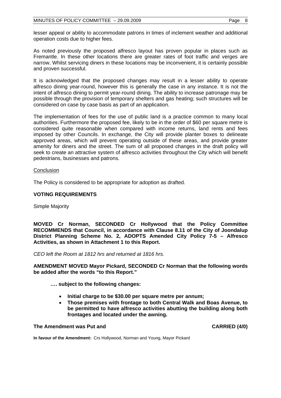lesser appeal or ability to accommodate patrons in times of inclement weather and additional operation costs due to higher fees.

As noted previously the proposed alfresco layout has proven popular in places such as Fremantle. In these other locations there are greater rates of foot traffic and verges are narrow. Whilst servicing diners in these locations may be inconvenient, it is certainly possible and proven successful.

It is acknowledged that the proposed changes may result in a lesser ability to operate alfresco dining year-round, however this is generally the case in any instance. It is not the intent of alfresco dining to permit year-round dining. The ability to increase patronage may be possible through the provision of temporary shelters and gas heating; such structures will be considered on case by case basis as part of an application.

The implementation of fees for the use of public land is a practice common to many local authorities. Furthermore the proposed fee, likely to be in the order of \$60 per square metre is considered quite reasonable when compared with income returns, land rents and fees imposed by other Councils. In exchange, the City will provide planter boxes to delineate approved areas, which will prevent operating outside of these areas, and provide greater amenity for diners and the street. The sum of all proposed changes in the draft policy will seek to create an attractive system of alfresco activities throughout the City which will benefit pedestrians, businesses and patrons.

# **Conclusion**

The Policy is considered to be appropriate for adoption as drafted.

# **VOTING REQUIREMENTS**

Simple Majority

**MOVED Cr Norman, SECONDED Cr Hollywood that the Policy Committee RECOMMENDS that Council, in accordance with Clause 8.11 of the City of Joondalup District Planning Scheme No. 2, ADOPTS Amended City Policy 7-5 – Alfresco Activities, as shown in Attachment 1 to this Report.** 

*CEO left the Room at 1812 hrs and returned at 1816 hrs.* 

**AMENDMENT MOVED Mayor Pickard, SECONDED Cr Norman that the following words be added after the words "to this Report."** 

 **…. subject to the following changes:** 

- **Initial charge to be \$30.00 per square metre per annum;**
- **Those premises with frontage to both Central Walk and Boas Avenue, to be permitted to have alfresco activities abutting the building along both frontages and located under the awning.**

# **The Amendment was Put and CARRIED (4/0) CARRIED (4/0)**

**In favour of the Amendment:** Crs Hollywood, Norman and Young, Mayor Pickard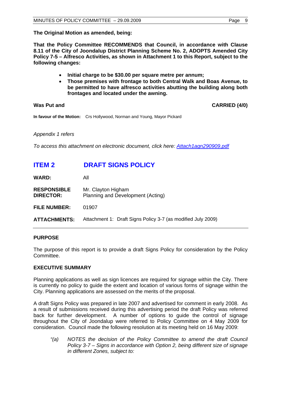<span id="page-8-0"></span>**The Original Motion as amended, being:** 

**That the Policy Committee RECOMMENDS that Council, in accordance with Clause 8.11 of the City of Joondalup District Planning Scheme No. 2, ADOPTS Amended City Policy 7-5 – Alfresco Activities, as shown in Attachment 1 to this Report, subject to the following changes:** 

- **Initial charge to be \$30.00 per square metre per annum;**
- **Those premises with frontage to both Central Walk and Boas Avenue, to be permitted to have alfresco activities abutting the building along both frontages and located under the awning.**

Was Put and **CARRIED** (4/0)

**In favour of the Motion:** Crs Hollywood, Norman and Young, Mayor Pickard

*Appendix 1 refers* 

*To access this attachment on electronic document, click here:<Attach1agn290909.pdf>*

# **ITEM 2 DRAFT SIGNS POLICY**

**WARD:** All

| <b>RESPONSIBLE</b> | Mr. Clayton Higham                |
|--------------------|-----------------------------------|
| <b>DIRECTOR:</b>   | Planning and Development (Acting) |

**FILE NUMBER:** 01907

**ATTACHMENTS:** Attachment 1: Draft Signs Policy 3-7 (as modified July 2009)

# **PURPOSE**

The purpose of this report is to provide a draft Signs Policy for consideration by the Policy Committee.

# **EXECUTIVE SUMMARY**

Planning applications as well as sign licences are required for signage within the City. There is currently no policy to guide the extent and location of various forms of signage within the City. Planning applications are assessed on the merits of the proposal.

A draft Signs Policy was prepared in late 2007 and advertised for comment in early 2008. As a result of submissions received during this advertising period the draft Policy was referred back for further development. A number of options to guide the control of signage throughout the City of Joondalup were referred to Policy Committee on 4 May 2009 for consideration. Council made the following resolution at its meeting held on 16 May 2009:

*"(a) NOTES the decision of the Policy Committee to amend the draft Council Policy 3-7 – Signs in accordance with Option 2, being different size of signage in different Zones, subject to:*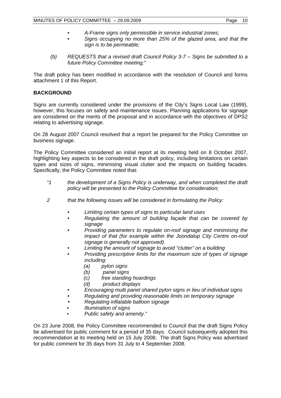- *A-Frame signs only permissible in service industrial zones;*
- *Signs occupying no more than 25% of the glazed area, and that the sign is to be permeable;*
- *(b) REQUESTS that a revised draft Council Policy 3-7 Signs be submitted to a future Policy Committee meeting;"*

The draft policy has been modified in accordance with the resolution of Council and forms attachment 1 of this Report.

# **BACKGROUND**

Signs are currently considered under the provisions of the City's Signs Local Law (1999), however, this focuses on safety and maintenance issues. Planning applications for signage are considered on the merits of the proposal and in accordance with the objectives of DPS2 relating to advertising signage.

On 28 August 2007 Council resolved that a report be prepared for the Policy Committee on business signage.

The Policy Committee considered an initial report at its meeting held on 8 October 2007, highlighting key aspects to be considered in the draft policy, including limitations on certain types and sizes of signs, minimising visual clutter and the impacts on building facades. Specifically, the Policy Committee noted that:

- *"1 the development of a Signs Policy is underway, and when completed the draft policy will be presented to the Policy Committee for consideration;*
- *2 that the following issues will be considered in formulating the Policy:* 
	- *Limiting certain types of signs to particular land uses*
	- *Regulating the amount of building façade that can be covered by signage*
	- *Providing parameters to regulate on-roof signage and minimising the impact of that (for example within the Joondalup City Centre on-roof signage is generally not approved).*
	- *Limiting the amount of signage to avoid "clutter" on a building*
	- *Providing prescriptive limits for the maximum size of types of signage including:* 
		- *(a) pylon signs*
		- *(b) panel signs*
		- *(c) free standing hoardings*
		- *(d) product displays*
	- *Encouraging multi panel shared pylon signs in lieu of individual signs*
	- *Regulating and providing reasonable limits on temporary signage*
	- *Regulating inflatable balloon signage*
	- *Illumination of signs* 
		- *Public safety and amenity."*

On 23 June 2008, the Policy Committee recommended to Council that the draft Signs Policy be advertised for public comment for a period of 35 days. Council subsequently adopted this recommendation at its meeting held on 15 July 2008. The draft Signs Policy was advertised for public comment for 35 days from 31 July to 4 September 2008.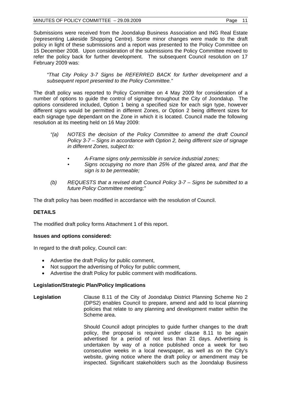Submissions were received from the Joondalup Business Association and ING Real Estate (representing Lakeside Shopping Centre). Some minor changes were made to the draft policy in light of these submissions and a report was presented to the Policy Committee on 15 December 2008. Upon consideration of the submissions the Policy Committee moved to refer the policy back for further development. The subsequent Council resolution on 17 February 2009 was:

*"That City Policy 3-7 Signs be REFERRED BACK for further development and a subsequent report presented to the Policy Committee."* 

The draft policy was reported to Policy Committee on 4 May 2009 for consideration of a number of options to guide the control of signage throughout the City of Joondalup. The options considered included, Option 1 being a specified size for each sign type, however different signs would be permitted in different Zones, or Option 2 being different sizes for each signage type dependant on the Zone in which it is located. Council made the following resolution at its meeting held on 16 May 2009:

- *"(a) NOTES the decision of the Policy Committee to amend the draft Council Policy 3-7 – Signs in accordance with Option 2, being different size of signage in different Zones, subject to:* 
	- *A-Frame signs only permissible in service industrial zones;*
	- *Signs occupying no more than 25% of the glazed area, and that the sign is to be permeable;*
- *(b) REQUESTS that a revised draft Council Policy 3-7 Signs be submitted to a future Policy Committee meeting;"*

The draft policy has been modified in accordance with the resolution of Council.

# **DETAILS**

The modified draft policy forms Attachment 1 of this report.

# **Issues and options considered:**

In regard to the draft policy, Council can:

- Advertise the draft Policy for public comment,
- Not support the advertising of Policy for public comment,
- Advertise the draft Policy for public comment with modifications.

# **Legislation/Strategic Plan/Policy Implications**

**Legislation** Clause 8.11 of the City of Joondalup District Planning Scheme No 2 (DPS2) enables Council to prepare, amend and add to local planning policies that relate to any planning and development matter within the Scheme area.

> Should Council adopt principles to guide further changes to the draft policy, the proposal is required under clause 8.11 to be again advertised for a period of not less than 21 days. Advertising is undertaken by way of a notice published once a week for two consecutive weeks in a local newspaper, as well as on the City's website, giving notice where the draft policy or amendment may be inspected. Significant stakeholders such as the Joondalup Business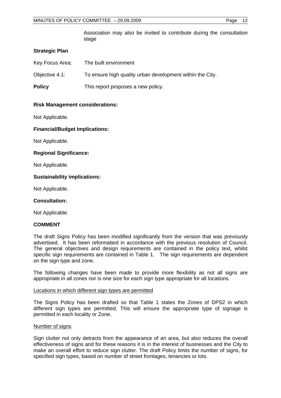Association may also be invited to contribute during the consultation stage

# **Strategic Plan**

| Key Focus Area: | The built environment                                     |
|-----------------|-----------------------------------------------------------|
| Objective 4.1:  | To ensure high quality urban development within the City. |
| <b>Policy</b>   | This report proposes a new policy.                        |

# **Risk Management considerations:**

Not Applicable.

# **Financial/Budget Implications:**

Not Applicable.

# **Regional Significance:**

Not Applicable.

# **Sustainability implications:**

Not Applicable.

#### **Consultation:**

Not Applicable.

#### **COMMENT**

The draft Signs Policy has been modified significantly from the version that was previously advertised. It has been reformatted in accordance with the previous resolution of Council. The general objectives and design requirements are contained in the policy text, whilst specific sign requirements are contained in Table 1. The sign requirements are dependent on the sign type and zone.

The following changes have been made to provide more flexibility as not all signs are appropriate in all zones nor is one size for each sign type appropriate for all locations.

#### Locations in which different sign types are permitted

The Signs Policy has been drafted so that Table 1 states the Zones of DPS2 in which different sign types are permitted. This will ensure the appropriate type of signage is permitted in each locality or Zone.

#### Number of signs

Sign clutter not only detracts from the appearance of an area, but also reduces the overall effectiveness of signs and for these reasons it is in the interest of businesses and the City to make an overall effort to reduce sign clutter. The draft Policy limits the number of signs, for specified sign types, based on number of street frontages, tenancies or lots.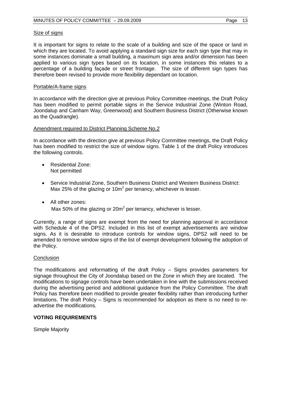# Size of signs

It is important for signs to relate to the scale of a building and size of the space or land in which they are located. To avoid applying a standard sign size for each sign type that may in some instances dominate a small building, a maximum sign area and/or dimension has been applied to various sign types based on its location, in some instances this relates to a percentage of a building façade or street frontage. The size of different sign types has therefore been revised to provide more flexibility dependant on location.

#### Portable/A-frame signs

In accordance with the direction give at previous Policy Committee meetings, the Draft Policy has been modified to permit portable signs in the Service Industrial Zone (Winton Road, Joondalup and Canham Way, Greenwood) and Southern Business District (Otherwise known as the Quadrangle).

# Amendment required to District Planning Scheme No.2

In accordance with the direction give at previous Policy Committee meetings, the Draft Policy has been modified to restrict the size of window signs. Table 1 of the draft Policy introduces the following controls.

- Residential Zone: Not permitted
- Service Industrial Zone, Southern Business District and Western Business District: Max 25% of the glazing or 10 $m^2$  per tenancy, whichever is lesser.
- All other zones: Max 50% of the glazing or 20 $m^2$  per tenancy, whichever is lesser.

Currently, a range of signs are exempt from the need for planning approval in accordance with Schedule 4 of the DPS2. Included in this list of exempt advertisements are window signs. As it is desirable to introduce controls for window signs, DPS2 will need to be amended to remove window signs of the list of exempt development following the adoption of the Policy.

#### **Conclusion**

The modifications and reformatting of the draft Policy – Signs provides parameters for signage throughout the City of Joondalup based on the Zone in which they are located. The modifications to signage controls have been undertaken in line with the submissions received during the advertising period and additional guidance from the Policy Committee. The draft Policy has therefore been modified to provide greater flexibility rather than introducing further limitations. The draft Policy – Signs is recommended for adoption as there is no need to readvertise the modifications.

#### **VOTING REQUIREMENTS**

Simple Majority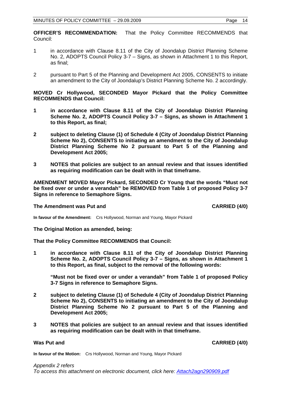**OFFICER'S RECOMMENDATION:** That the Policy Committee RECOMMENDS that Council:

- 1 in accordance with Clause 8.11 of the City of Joondalup District Planning Scheme No. 2, ADOPTS Council Policy 3-7 – Signs, as shown in Attachment 1 to this Report, as final;
- 2 pursuant to Part 5 of the Planning and Development Act 2005, CONSENTS to initiate an amendment to the City of Joondalup's District Planning Scheme No. 2 accordingly.

# **MOVED Cr Hollywood, SECONDED Mayor Pickard that the Policy Committee RECOMMENDS that Council:**

- **1 in accordance with Clause 8.11 of the City of Joondalup District Planning Scheme No. 2, ADOPTS Council Policy 3-7 – Signs, as shown in Attachment 1 to this Report, as final;**
- **2 subject to deleting Clause (1) of Schedule 4 (City of Joondalup District Planning Scheme No 2), CONSENTS to initiating an amendment to the City of Joondalup District Planning Scheme No 2 pursuant to Part 5 of the Planning and Development Act 2005;**
- **3 NOTES that policies are subject to an annual review and that issues identified as requiring modification can be dealt with in that timeframe.**

**AMENDMENT MOVED Mayor Pickard, SECONDED Cr Young that the words "Must not be fixed over or under a verandah" be REMOVED from Table 1 of proposed Policy 3-7 Signs in reference to Semaphore Signs.** 

# **The Amendment was Put and CARRIED (4/0) CARRIED (4/0)**

**In favour of the Amendment:** Crs Hollywood, Norman and Young, Mayor Pickard

#### **The Original Motion as amended, being:**

**That the Policy Committee RECOMMENDS that Council:** 

**1 in accordance with Clause 8.11 of the City of Joondalup District Planning Scheme No. 2, ADOPTS Council Policy 3-7 – Signs, as shown in Attachment 1 to this Report, as final, subject to the removal of the following words:** 

**"Must not be fixed over or under a verandah" from Table 1 of proposed Policy 3-7 Signs in reference to Semaphore Signs.** 

- **2 subject to deleting Clause (1) of Schedule 4 (City of Joondalup District Planning Scheme No 2), CONSENTS to initiating an amendment to the City of Joondalup District Planning Scheme No 2 pursuant to Part 5 of the Planning and Development Act 2005;**
- **3 NOTES that policies are subject to an annual review and that issues identified as requiring modification can be dealt with in that timeframe.**

**Was Put and CARRIED (4/0)** 

**In favour of the Motion:** Crs Hollywood, Norman and Young, Mayor Pickard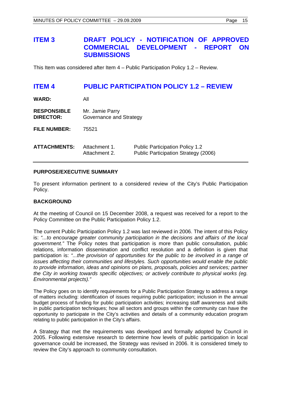# <span id="page-14-0"></span>**ITEM 3 DRAFT POLICY - NOTIFICATION OF APPROVED COMMERCIAL DEVELOPMENT - REPORT ON SUBMISSIONS**

This Item was considered after Item 4 – Public Participation Policy 1.2 – Review.

# **ITEM 4 PUBLIC PARTICIPATION POLICY 1.2 – REVIEW**

| <b>WARD:</b>                           | All                                        |                                                                                |
|----------------------------------------|--------------------------------------------|--------------------------------------------------------------------------------|
| <b>RESPONSIBLE</b><br><b>DIRECTOR:</b> | Mr. Jamie Parry<br>Governance and Strategy |                                                                                |
| <b>FILE NUMBER:</b>                    | 75521                                      |                                                                                |
| <b>ATTACHMENTS:</b>                    | Attachment 1.<br>Attachment 2.             | <b>Public Participation Policy 1.2</b><br>Public Participation Strategy (2006) |
|                                        |                                            |                                                                                |

# **PURPOSE/EXECUTIVE SUMMARY**

To present information pertinent to a considered review of the City's Public Participation Policy.

# **BACKGROUND**

At the meeting of Council on 15 December 2008, a request was received for a report to the Policy Committee on the Public Participation Policy 1.2.

The current Public Participation Policy 1.2 was last reviewed in 2006. The intent of this Policy is: *"...to encourage greater community participation in the decisions and affairs of the local government."* The Policy notes that participation is more than public consultation, public relations, information dissemination and conflict resolution and a definition is given that participation is: *"...the provision of opportunities for the public to be involved in a range of issues affecting their communities and lifestyles. Such opportunities would enable the public to provide information, ideas and opinions on plans, proposals, policies and services; partner the City in working towards specific objectives; or actively contribute to physical works (eg. Environmental projects)."* 

The Policy goes on to identify requirements for a Public Participation Strategy to address a range of matters including: identification of issues requiring public participation; inclusion in the annual budget process of funding for public participation activities; increasing staff awareness and skills in public participation techniques; how all sectors and groups within the community can have the opportunity to participate in the City's activities and details of a community education program relating to public participation in the City's affairs.

A Strategy that met the requirements was developed and formally adopted by Council in 2005. Following extensive research to determine how levels of public participation in local governance could be increased, the Strategy was revised in 2006. It is considered timely to review the City's approach to community consultation.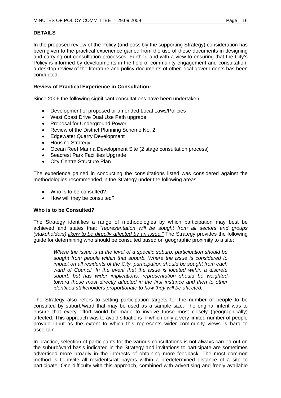# **DETAILS**

In the proposed review of the Policy (and possibly the supporting Strategy) consideration has been given to the practical experience gained from the use of these documents in designing and carrying out consultation processes. Further, and with a view to ensuring that the City's Policy is informed by developments in the field of community engagement and consultation, a desktop review of the literature and policy documents of other local governments has been conducted.

# **Review of Practical Experience in Consultation***:*

Since 2006 the following significant consultations have been undertaken:

- Development of proposed or amended Local Laws/Policies
- West Coast Drive Dual Use Path upgrade
- Proposal for Underground Power
- Review of the District Planning Scheme No. 2
- Edgewater Quarry Development
- Housing Strategy
- Ocean Reef Marina Development Site (2 stage consultation process)
- Seacrest Park Facilities Upgrade
- City Centre Structure Plan

The experience gained in conducting the consultations listed was considered against the methodologies recommended in the Strategy under the following areas:

- Who is to be consulted?
- How will they be consulted?

# **Who is to be Consulted?**

The Strategy identifies a range of methodologies by which participation may best be achieved and states that: "*representation will be sought from all sectors and groups (stakeholders) likely to be directly affected by an issue."* The Strategy provides the following guide for determining who should be consulted based on geographic proximity to a site:

*Where the issue is at the level of a specific suburb, participation should be sought from people within that suburb. Where the issue is considered to impact on all residents of the City, participation should be sought from each ward of Council. In the event that the issue is located within a discrete suburb but has wider implications, representation should be weighted toward those most directly affected in the first instance and then to other identified stakeholders proportionate to how they will be affected.* 

The Strategy also refers to setting participation targets for the number of people to be consulted by suburb/ward that may be used as a sample size. The original intent was to ensure that every effort would be made to involve those most closely (geographically) affected. This approach was to avoid situations in which only a very limited number of people provide input as the extent to which this represents wider community views is hard to ascertain.

In practice, selection of participants for the various consultations is not always carried out on the suburb/ward basis indicated in the Strategy and invitations to participate are sometimes advertised more broadly in the interests of obtaining more feedback. The most common method is to invite all residents/ratepayers within a predetermined distance of a site to participate. One difficulty with this approach, combined with advertising and freely available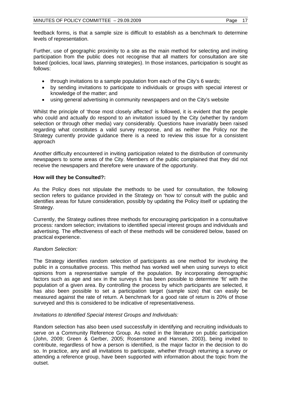feedback forms, is that a sample size is difficult to establish as a benchmark to determine levels of representation.

Further, use of geographic proximity to a site as the main method for selecting and inviting participation from the public does not recognise that all matters for consultation are site based (policies, local laws, planning strategies). In those instances, participation is sought as follows:

- through invitations to a sample population from each of the City's 6 wards;
- by sending invitations to participate to individuals or groups with special interest or knowledge of the matter; and
- using general advertising in community newspapers and on the City's website

Whilst the principle of 'those most closely affected' is followed, it is evident that the people who could and actually do respond to an invitation issued by the City (whether by random selection or through other media) vary considerably. Questions have invariably been raised regarding what constitutes a valid survey response, and as neither the Policy nor the Strategy currently provide guidance there is a need to review this issue for a consistent approach

Another difficulty encountered in inviting participation related to the distribution of community newspapers to some areas of the City. Members of the public complained that they did not receive the newspapers and therefore were unaware of the opportunity.

# **How will they be Consulted?:**

As the Policy does not stipulate the methods to be used for consultation, the following section refers to guidance provided in the Strategy on 'how to' consult with the public and identifies areas for future consideration, possibly by updating the Policy itself or updating the Strategy.

Currently, the Strategy outlines three methods for encouraging participation in a consultative process: random selection; invitations to identified special interest groups and individuals and advertising. The effectiveness of each of these methods will be considered below, based on practical experience.

# *Random Selection:*

The Strategy identifies random selection of participants as one method for involving the public in a consultative process. This method has worked well when using surveys to elicit opinions from a representative sample of the population. By incorporating demographic factors such as age and sex in the surveys it has been possible to determine 'fit' with the population of a given area. By controlling the process by which participants are selected, it has also been possible to set a participation target (sample size) that can easily be measured against the rate of return. A benchmark for a good rate of return is 20% of those surveyed and this is considered to be indicative of representativeness.

# *Invitations to Identified Special Interest Groups and Individuals:*

Random selection has also been used successfully in identifying and recruiting individuals to serve on a Community Reference Group. As noted in the literature on public participation (John, 2009; Green & Gerber, 2005; Rosenstone and Hansen, 2003), being invited to contribute, regardless of how a person is identified, is the major factor in the decision to do so. In practice, any and all invitations to participate, whether through returning a survey or attending a reference group, have been supported with information about the topic from the outset.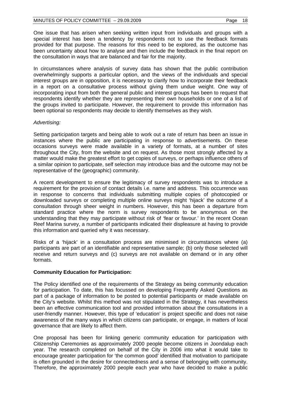One issue that has arisen when seeking written input from individuals and groups with a special interest has been a tendency by respondents not to use the feedback formats provided for that purpose. The reasons for this need to be explored, as the outcome has been uncertainty about how to analyse and then include the feedback in the final report on the consultation in ways that are balanced and fair for the majority.

In circumstances where analysis of survey data has shown that the public contribution overwhelmingly supports a particular option, and the views of the individuals and special interest groups are in opposition, it is necessary to clarify how to incorporate their feedback in a report on a consultative process without giving them undue weight. One way of incorporating input from both the general public and interest groups has been to request that respondents identify whether they are representing their own households or one of a list of the groups invited to participate. However, the requirement to provide this information has been optional so respondents may decide to identify themselves as they wish.

# *Advertising:*

Setting participation targets and being able to work out a rate of return has been an issue in instances where the public are participating in response to advertisements. On these occasions surveys were made available in a variety of formats, at a number of sites throughout the City, from the website and on request. As those most strongly affected by a matter would make the greatest effort to get copies of surveys, or perhaps influence others of a similar opinion to participate, self selection may introduce bias and the outcome may not be representative of the (geographic) community.

A recent development to ensure the legitimacy of survey respondents was to introduce a requirement for the provision of contact details i.e. name and address. This occurrence was in response to concerns that individuals submitting multiple copies of photocopied or downloaded surveys or completing multiple online surveys might 'hijack' the outcome of a consultation through sheer weight in numbers. However, this has been a departure from standard practice where the norm is survey respondents to be anonymous on the understanding that they may participate without risk of 'fear or favour.' In the recent Ocean Reef Marina survey, a number of participants indicated their displeasure at having to provide this information and queried why it was necessary.

Risks of a 'hijack' in a consultation process are minimised in circumstances where (a) participants are part of an identifiable and representative sample; (b) only those selected will receive and return surveys and (c) surveys are not available on demand or in any other formats.

# **Community Education for Participation:**

The Policy identified one of the requirements of the Strategy as being community education for participation. To date, this has focussed on developing Frequently Asked Questions as part of a package of information to be posted to potential participants or made available on the City's website. Whilst this method was not stipulated in the Strategy, it has nevertheless been an effective communication tool and provided information about the consultations in a user-friendly manner. However, this type of 'education' is project specific and does not raise awareness of the many ways in which citizens can participate, or engage, in matters of local governance that are likely to affect them.

One proposal has been for linking generic community education for participation with Citizenship Ceremonies as approximately 2000 people become citizens in Joondalup each year. The research completed on behalf of the City in 2006 into what it would take to encourage greater participation for 'the common good' identified that motivation to participate is often grounded in the desire for connectedness and a sense of belonging with community. Therefore, the approximately 2000 people each year who have decided to make a public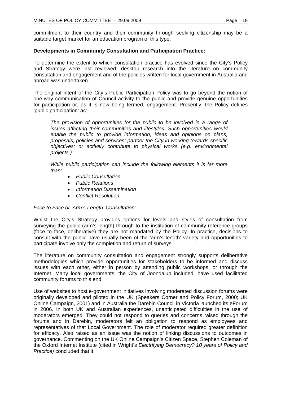commitment to their country and their community through seeking citizenship may be a suitable target market for an education program of this type.

# **Developments in Community Consultation and Participation Practice:**

To determine the extent to which consultation practice has evolved since the City's Policy and Strategy were last reviewed, desktop research into the literature on community consultation and engagement and of the policies written for local government in Australia and abroad was undertaken.

The original intent of the City's Public Participation Policy was to go beyond the notion of one-way communication of Council activity to the public and provide genuine opportunities for participation or, as it is now being termed, engagement. Presently, the Policy defines 'public participation' as:

*The provision of opportunities for the public to be involved in a range of issues affecting their communities and lifestyles. Such opportunities would enable the public to provide information, ideas and opinions on plans, proposals, policies and services; partner the City in working towards specific objectives; or actively contribute to physical works (e.g. environmental projects.)* 

*While public participation can include the following elements it is far more than:* 

- *Public Consultation*
- *Public Relations*
- *Information Dissemination*
- *Conflict Resolution.*

#### *Face to Face or 'Arm's Length' Consultation:*

Whilst the City's Strategy provides options for levels and styles of consultation from surveying the public (arm's length) through to the institution of community reference groups (face to face, deliberative) they are not mandated by the Policy. In practice, decisions to consult with the public have usually been of the 'arm's length' variety and opportunities to participate involve only the completion and return of surveys.

The literature on community consultation and engagement strongly supports deliberative methodologies which provide opportunities for stakeholders to be informed and discuss issues with each other, either in person by attending public workshops, or through the Internet. Many local governments, the City of Joondalup included, have used facilitated community forums to this end.

Use of websites to host e-government initiatives involving moderated discussion forums were originally developed and piloted in the UK (Speakers Corner and Policy Forum, 2000; UK Online Campaign, 2001) and in Australia the Darebin Council in Victoria launched its eForum in 2006. In both UK and Australian experiences, unanticipated difficulties in the use of moderators emerged. They could not respond to queries and concerns raised through the forums and in Darebin, moderators felt an obligation to respond as employees and representatives of that Local Government. The role of moderator required greater definition for efficacy. Also raised as an issue was the notion of linking discussions to outcomes in governance. Commenting on the UK Online Campaign's Citizen Space, Stephen Coleman of the Oxford Internet Institute (cited in Wright's *Electrifying Democracy? 10 years of Policy and Practice)* concluded that it: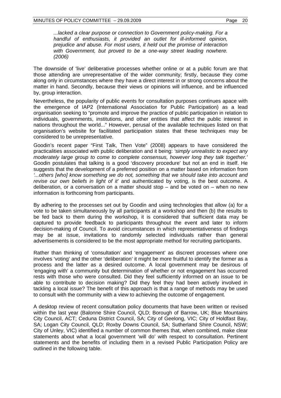*...lacked a clear purpose or connection to Government policy-making. For a handful of enthusiasts, it provided an outlet for ill-informed opinion, prejudice and abuse. For most users, it held out the promise of interaction with Government, but proved to be a one-way street leading nowhere. (2006)* 

The downside of 'live' deliberative processes whether online or at a public forum are that those attending are unrepresentative of the wider community; firstly, because they come along only in circumstances where they have a direct interest in or strong concerns about the matter in hand. Secondly, because their views or opinions will influence, and be influenced by, group interaction.

Nevertheless, the popularity of public events for consultation purposes continues apace with the emergence of IAP2 (International Association for Public Participation) as a lead organisation seeking to "promote and improve the practice of public participation in relation to individuals, governments, institutions, and other entities that affect the public interest in nations throughout the world..." However, perusal of the available techniques listed on that organisation's website for facilitated participation states that these techniques may be considered to be unrepresentative.

Goodin's recent paper "First Talk, Then Vote" (2008) appears to have considered the practicalities associated with public deliberation and it being: *'simply unrealistic to expect any moderately large group to come to complete consensus, however long they talk together.'* Goodin postulates that talking is a good 'discovery procedure' but not an end in itself. He suggests that the development of a preferred position on a matter based on information from *'...others [who] know something we do not, something that we should take into account and revise our own beliefs in light of it'* and authenticated by voting, is the best outcome. A deliberation, or a conversation on a matter should stop – and be voted on – when no new information is forthcoming from participants.

By adhering to the processes set out by Goodin and using technologies that allow (a) for a vote to be taken simultaneously by all participants at a workshop and then (b) the results to be fed back to them during the workshop, it is considered that sufficient data may be captured to provide feedback to participants throughout the event and later to inform decision-making of Council. To avoid circumstances in which representativeness of findings may be at issue, invitations to randomly selected individuals rather than general advertisements is considered to be the most appropriate method for recruiting participants.

Rather than thinking of 'consultation' and 'engagement' as discreet processes where one involves 'voting' and the other 'deliberation' it might be more fruitful to identify the former as a process and the latter as a desired outcome. A local government may be desirous of 'engaging with' a community but determination of whether or not engagement has occurred rests with those who were consulted. Did they feel sufficiently informed on an issue to be able to contribute to decision making? Did they feel they had been actively involved in tackling a local issue? The benefit of this approach is that a range of methods may be used to consult with the community with a view to achieving the outcome of engagement.

A desktop review of recent consultation policy documents that have been written or revised within the last year (Balonne Shire Council, QLD; Borough of Barrow, UK; Blue Mountains City Council, ACT; Ceduna District Council, SA; City of Geelong, VIC; City of Holdfast Bay, SA; Logan City Council, QLD; Roxby Downs Council, SA; Sutherland Shire Council, NSW; City of Unley, VIC) identified a number of common themes that, when combined, make clear statements about what a local government 'will do' with respect to consultation. Pertinent statements and the benefits of including them in a revised Public Participation Policy are outlined in the following table.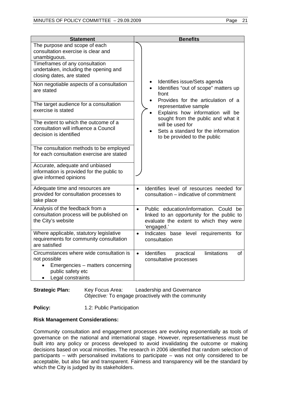| <b>Statement</b>                                                                                                                                                                            | <b>Benefits</b>                                                                                                                                           |
|---------------------------------------------------------------------------------------------------------------------------------------------------------------------------------------------|-----------------------------------------------------------------------------------------------------------------------------------------------------------|
| The purpose and scope of each<br>consultation exercise is clear and<br>unambiguous.<br>Timeframes of any consultation<br>undertaken, including the opening and<br>closing dates, are stated |                                                                                                                                                           |
| Non negotiable aspects of a consultation<br>are stated                                                                                                                                      | Identifies issue/Sets agenda<br>Identifies "out of scope" matters up<br>front                                                                             |
| The target audience for a consultation<br>exercise is stated                                                                                                                                | Provides for the articulation of a<br>representative sample<br>Explains how information will be<br>sought from the public and what it                     |
| The extent to which the outcome of a<br>consultation will influence a Council<br>decision is identified                                                                                     | will be used for<br>Sets a standard for the information<br>to be provided to the public                                                                   |
| The consultation methods to be employed<br>for each consultation exercise are stated                                                                                                        |                                                                                                                                                           |
| Accurate, adequate and unbiased<br>information is provided for the public to<br>give informed opinions                                                                                      |                                                                                                                                                           |
| Adequate time and resources are<br>provided for consultation processes to<br>take place                                                                                                     | Identifies level of resources needed for<br>$\bullet$<br>consultation – indicative of commitment                                                          |
| Analysis of the feedback from a<br>consultation process will be published on<br>the City's website                                                                                          | Public education/information. Could be<br>$\bullet$<br>linked to an opportunity for the public to<br>evaluate the extent to which they were<br>'engaged.' |
| Where applicable, statutory legislative<br>requirements for community consultation<br>are satisfied                                                                                         | Indicates base level requirements for<br>$\bullet$<br>consultation                                                                                        |
| Circumstances where wide consultation is<br>not possible<br>Emergencies - matters concerning<br>public safety etc<br>Legal constraints                                                      | Identifies<br>limitations<br>practical<br>οf<br>$\bullet$<br>consultative processes                                                                       |

# **Strategic Plan:** Key Focus Area: Leadership and Governance *Objective:* To engage proactively with the community

**Policy: 1.2: Public Participation** 

# **Risk Management Considerations:**

Community consultation and engagement processes are evolving exponentially as tools of governance on the national and international stage. However, representativeness must be built into any policy or process developed to avoid invalidating the outcome or making decisions based on vocal minorities. The research in 2006 identified that random selection of participants – with personalised invitations to participate – was not only considered to be acceptable, but also fair and transparent. Fairness and transparency will be the standard by which the City is judged by its stakeholders.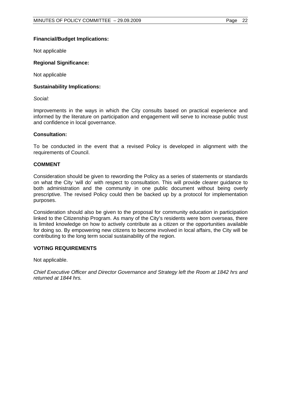# **Financial/Budget Implications:**

Not applicable

#### **Regional Significance:**

Not applicable

# **Sustainability Implications:**

*Social:* 

Improvements in the ways in which the City consults based on practical experience and informed by the literature on participation and engagement will serve to increase public trust and confidence in local governance.

#### **Consultation:**

To be conducted in the event that a revised Policy is developed in alignment with the requirements of Council.

# **COMMENT**

Consideration should be given to rewording the Policy as a series of statements or standards on what the City 'will do' with respect to consultation. This will provide clearer guidance to both administration and the community in one public document without being overly prescriptive. The revised Policy could then be backed up by a protocol for implementation purposes.

Consideration should also be given to the proposal for community education in participation linked to the Citizenship Program. As many of the City's residents were born overseas, there is limited knowledge on how to actively contribute as a citizen or the opportunities available for doing so. By empowering new citizens to become involved in local affairs, the City will be contributing to the long term social sustainability of the region.

#### **VOTING REQUIREMENTS**

Not applicable.

*Chief Executive Officer and Director Governance and Strategy left the Room at 1842 hrs and returned at 1844 hrs.*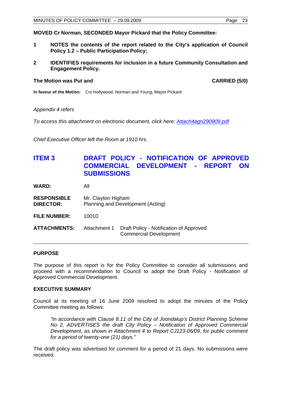<span id="page-22-0"></span>**MOVED Cr Norman, SECONDED Mayor Pickard that the Policy Committee:** 

- **1 NOTES the contents of the report related to the City's application of Council Policy 1.2 – Public Participation Policy;**
- **2 IDENTIFIES requirements for inclusion in a future Community Consultation and Engagement Policy.**

# **The Motion was Put and CARRIED (5/0) CARRIED (5/0)**

**In favour of the Motion:** Crs Hollywood, Norman and Young, Mayor Pickard

*Appendix 4 refers* 

*To access this attachment on electronic document, click here:<Attach4agn290909.pdf>*

*Chief Executive Officer left the Room at 1910 hrs.* 

# **ITEM 3 DRAFT POLICY - NOTIFICATION OF APPROVED COMMERCIAL DEVELOPMENT - REPORT ON SUBMISSIONS**

**WARD:** All

- **RESPONSIBLE** Mr. Clayton Higham **DIRECTOR:** Planning and Development (Acting)
- **FILE NUMBER:** 10010

**ATTACHMENTS:** Attachment 1 Draft Policy - Notification of Approved Commercial Development

# **PURPOSE**

The purpose of this report is for the Policy Committee to consider all submissions and proceed with a recommendation to Council to adopt the Draft Policy - Notification of Approved Commercial Development.

#### **EXECUTIVE SUMMARY**

Council at its meeting of 16 June 2009 resolved to adopt the minutes of the Policy Committee meeting as follows:

*"In accordance with Clause 8.11 of the City of Joondalup's District Planning Scheme No 2, ADVERTISES the draft City Policy – Notification of Approved Commercial Development, as shown in Attachment 4 to Report CJ123-06/09, for public comment for a period of twenty-one (21) days."* 

The draft policy was advertised for comment for a period of 21 days. No submissions were received.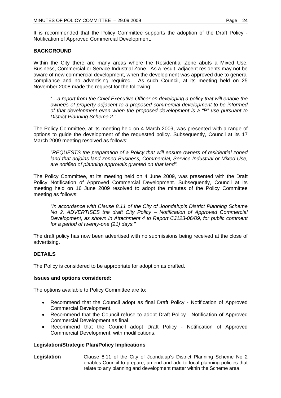It is recommended that the Policy Committee supports the adoption of the Draft Policy - Notification of Approved Commercial Development.

# **BACKGROUND**

Within the City there are many areas where the Residential Zone abuts a Mixed Use, Business, Commercial or Service Industrial Zone. As a result, adjacent residents may not be aware of new commercial development, when the development was approved due to general compliance and no advertising required. As such Council, at its meeting held on 25 November 2008 made the request for the following:

"…*a report from the Chief Executive Officer on developing a policy that will enable the owner/s of property adjacent to a proposed commercial development to be informed of that development even when the proposed development is a "P" use pursuant to District Planning Scheme 2."* 

The Policy Committee, at its meeting held on 4 March 2009, was presented with a range of options to guide the development of the requested policy. Subsequently, Council at its 17 March 2009 meeting resolved as follows:

*"REQUESTS the preparation of a Policy that will ensure owners of residential zoned land that adjoins land zoned Business, Commercial, Service Industrial or Mixed Use, are notified of planning approvals granted on that land".* 

The Policy Committee, at its meeting held on 4 June 2009, was presented with the Draft Policy Notification of Approved Commercial Development. Subsequently, Council at its meeting held on 16 June 2009 resolved to adopt the minutes of the Policy Committee meeting as follows:

*"In accordance with Clause 8.11 of the City of Joondalup's District Planning Scheme No 2, ADVERTISES the draft City Policy – Notification of Approved Commercial Development, as shown in Attachment 4 to Report CJ123-06/09, for public comment for a period of twenty-one (21) days."* 

The draft policy has now been advertised with no submissions being received at the close of advertising.

# **DETAILS**

The Policy is considered to be appropriate for adoption as drafted.

#### **Issues and options considered:**

The options available to Policy Committee are to:

- Recommend that the Council adopt as final Draft Policy Notification of Approved Commercial Development.
- Recommend that the Council refuse to adopt Draft Policy Notification of Approved Commercial Development as final.
- Recommend that the Council adopt Draft Policy Notification of Approved Commercial Development, with modifications.

# **Legislation/Strategic Plan/Policy Implications**

**Legislation** Clause 8.11 of the City of Joondalup's District Planning Scheme No 2 enables Council to prepare, amend and add to local planning policies that relate to any planning and development matter within the Scheme area.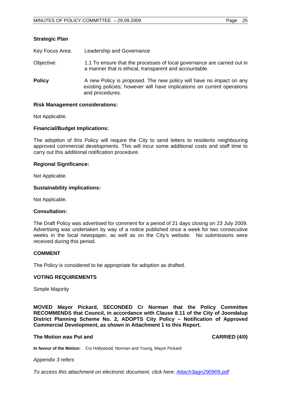| Key Focus Area: | Leadership and Governance                                                                                                                                         |
|-----------------|-------------------------------------------------------------------------------------------------------------------------------------------------------------------|
| Objective:      | 1.1 To ensure that the processes of local governance are carried out in<br>a manner that is ethical, transparent and accountable.                                 |
| <b>Policy</b>   | A new Policy is proposed. The new policy will have no impact on any<br>existing policies; however will have implications on current operations<br>and procedures. |

#### **Risk Management considerations:**

Not Applicable.

**Strategic Plan** 

#### **Financial/Budget Implications:**

The adoption of this Policy will require the City to send letters to residents neighbouring approved commercial developments. This will incur some additional costs and staff time to carry out this additional notification procedure.

#### **Regional Significance:**

Not Applicable.

#### **Sustainability implications:**

Not Applicable.

#### **Consultation:**

The Draft Policy was advertised for comment for a period of 21 days closing on 23 July 2009. Advertising was undertaken by way of a notice published once a week for two consecutive weeks in the local newspaper, as well as on the City's website. No submissions were received during this period.

#### **COMMENT**

The Policy is considered to be appropriate for adoption as drafted.

#### **VOTING REQUIREMENTS**

Simple Majority

**MOVED Mayor Pickard, SECONDED Cr Norman that the Policy Committee RECOMMENDS that Council, in accordance with Clause 8.11 of the City of Joondalup District Planning Scheme No. 2, ADOPTS City Policy – Notification of Approved Commercial Development, as shown in Attachment 1 to this Report.** 

#### **The Motion was Put and CARRIED (4/0) CARRIED (4/0)**

**In favour of the Motion:** Crs Hollywood, Norman and Young, Mayor Pickard

#### *Appendix 3 refers*

*To access this attachment on electronic document, click here:<Attach3agn290909.pdf>*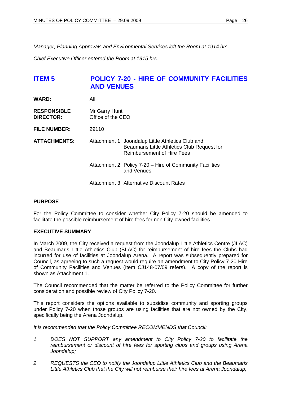<span id="page-25-0"></span>*Manager, Planning Approvals and Environmental Services left the Room at 1914 hrs.* 

*Chief Executive Officer entered the Room at 1915 hrs.* 

# **ITEM 5 POLICY 7-20 - HIRE OF COMMUNITY FACILITIES AND VENUES**

| <b>WARD:</b>                           | All                                |                                                                                                                               |
|----------------------------------------|------------------------------------|-------------------------------------------------------------------------------------------------------------------------------|
| <b>RESPONSIBLE</b><br><b>DIRECTOR:</b> | Mr Garry Hunt<br>Office of the CEO |                                                                                                                               |
| <b>FILE NUMBER:</b>                    | 29110                              |                                                                                                                               |
| <b>ATTACHMENTS:</b>                    |                                    | Attachment 1 Joondalup Little Athletics Club and<br>Beaumaris Little Athletics Club Request for<br>Reimbursement of Hire Fees |
|                                        |                                    | Attachment 2 Policy 7-20 - Hire of Community Facilities<br>and Venues                                                         |
|                                        |                                    | <b>Attachment 3 Alternative Discount Rates</b>                                                                                |

# **PURPOSE**

For the Policy Committee to consider whether City Policy 7-20 should be amended to facilitate the possible reimbursement of hire fees for non City-owned facilities.

#### **EXECUTIVE SUMMARY**

In March 2009, the City received a request from the Joondalup Little Athletics Centre (JLAC) and Beaumaris Little Athletics Club (BLAC) for reimbursement of hire fees the Clubs had incurred for use of facilities at Joondalup Arena. A report was subsequently prepared for Council, as agreeing to such a request would require an amendment to City Policy 7-20 Hire of Community Facilities and Venues (Item CJ148-07/09 refers). A copy of the report is shown as Attachment 1.

The Council recommended that the matter be referred to the Policy Committee for further consideration and possible review of City Policy 7-20.

This report considers the options available to subsidise community and sporting groups under Policy 7-20 when those groups are using facilities that are not owned by the City, specifically being the Arena Joondalup.

*It is recommended that the Policy Committee RECOMMENDS that Council:* 

- *1 DOES NOT SUPPORT any amendment to City Policy 7-20 to facilitate the reimbursement or discount of hire fees for sporting clubs and groups using Arena Joondalup;*
- *2 REQUESTS the CEO to notify the Joondalup Little Athletics Club and the Beaumaris Little Athletics Club that the City will not reimburse their hire fees at Arena Joondalup;*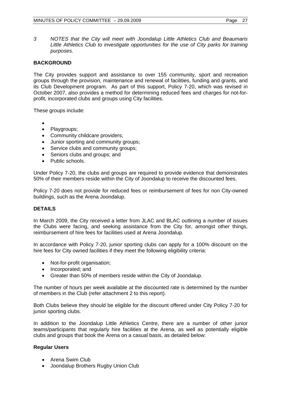*3 NOTES that the City will meet with Joondalup Little Athletics Club and Beaumaris Little Athletics Club to investigate opportunities for the use of City parks for training purposes.*

# **BACKGROUND**

The City provides support and assistance to over 155 community, sport and recreation groups through the provision, maintenance and renewal of facilities, funding and grants, and its Club Development program. As part of this support, Policy 7-20, which was revised in October 2007, also provides a method for determining reduced fees and charges for not-forprofit, incorporated clubs and groups using City facilities.

These groups include:

- $\bullet$
- Playgroups;
- Community childcare providers;
- Junior sporting and community groups;
- Service clubs and community groups;
- Seniors clubs and groups; and
- Public schools.

Under Policy 7-20, the clubs and groups are required to provide evidence that demonstrates 50% of their members reside within the City of Joondalup to receive the discounted fees.

Policy 7-20 does not provide for reduced fees or reimbursement of fees for non City-owned buildings, such as the Arena Joondalup.

# **DETAILS**

In March 2009, the City received a letter from JLAC and BLAC outlining a number of issues the Clubs were facing, and seeking assistance from the City for, amongst other things, reimbursement of hire fees for facilities used at Arena Joondalup.

In accordance with Policy 7-20, junior sporting clubs can apply for a 100% discount on the hire fees for City owned facilities if they meet the following eligibility criteria:

- Not-for-profit organisation;
- Incorporated; and
- Greater than 50% of members reside within the City of Joondalup.

The number of hours per week available at the discounted rate is determined by the number of members in the Club (refer attachment 2 to this report).

Both Clubs believe they should be eligible for the discount offered under City Policy 7-20 for junior sporting clubs.

In addition to the Joondalup Little Athletics Centre, there are a number of other junior teams/participants that regularly hire facilities at the Arena, as well as potentially eligible clubs and groups that book the Arena on a casual basis, as detailed below:

# **Regular Users**

- Arena Swim Club
- Joondalup Brothers Rugby Union Club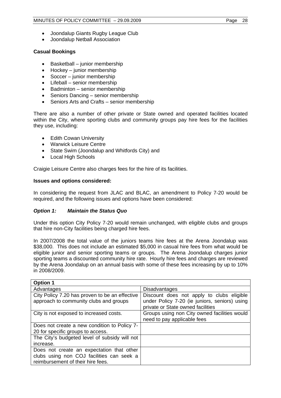- Joondalup Giants Rugby League Club
- Joondalup Netball Association

# **Casual Bookings**

- $\bullet$  Basketball junior membership
- Hockey junior membership
- Soccer junior membership
- Lifeball senior membership
- Badminton senior membership
- Seniors Dancing senior membership
- Seniors Arts and Crafts senior membership

There are also a number of other private or State owned and operated facilities located within the City, where sporting clubs and community groups pay hire fees for the facilities they use, including:

- Edith Cowan University
- Warwick Leisure Centre
- State Swim (Joondalup and Whitfords City) and
- Local High Schools

Craigie Leisure Centre also charges fees for the hire of its facilities.

# **Issues and options considered:**

In considering the request from JLAC and BLAC, an amendment to Policy 7-20 would be required, and the following issues and options have been considered:

# *Option 1: Maintain the Status Quo*

Under this option City Policy 7-20 would remain unchanged, with eligible clubs and groups that hire non-City facilities being charged hire fees.

In 2007/2008 the total value of the juniors teams hire fees at the Arena Joondalup was \$38,000. This does not include an estimated \$5,000 in casual hire fees from what would be eligible junior and senior sporting teams or groups. The Arena Joondalup charges junior sporting teams a discounted community hire rate. Hourly hire fees and charges are reviewed by the Arena Joondalup on an annual basis with some of these fees increasing by up to 10% in 2008/2009.

| <b>Option 1</b>                                                                          |                                                                                                                                 |
|------------------------------------------------------------------------------------------|---------------------------------------------------------------------------------------------------------------------------------|
| Advantages                                                                               | <b>Disadvantages</b>                                                                                                            |
| City Policy 7.20 has proven to be an effective<br>approach to community clubs and groups | Discount does not apply to clubs eligible<br>under Policy 7-20 (ie juniors, seniors) using<br>private or State owned facilities |
| City is not exposed to increased costs.                                                  | Groups using non City owned facilities would<br>need to pay applicable fees                                                     |
| Does not create a new condition to Policy 7-                                             |                                                                                                                                 |
| 20 for specific groups to access.                                                        |                                                                                                                                 |
| The City's budgeted level of subsidy will not                                            |                                                                                                                                 |
| increase.                                                                                |                                                                                                                                 |
| Does not create an expectation that other                                                |                                                                                                                                 |
| clubs using non COJ facilities can seek a                                                |                                                                                                                                 |
| reimbursement of their hire fees.                                                        |                                                                                                                                 |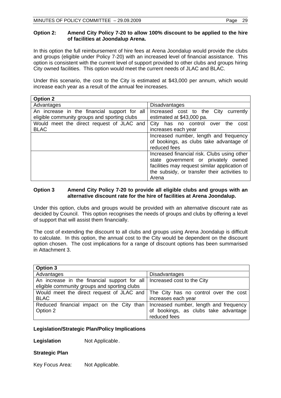# **Option 2: Amend City Policy 7-20 to allow 100% discount to be applied to the hire of facilities at Joondalup Arena.**

In this option the full reimbursement of hire fees at Arena Joondalup would provide the clubs and groups (eligible under Policy 7-20) with an increased level of financial assistance. This option is consistent with the current level of support provided to other clubs and groups hiring City owned facilities. This option would meet the current needs of JLAC and BLAC.

Under this scenario, the cost to the City is estimated at \$43,000 per annum, which would increase each year as a result of the annual fee increases.

| <b>Option 2</b>                                                                              |                                                                                                                                                                                              |
|----------------------------------------------------------------------------------------------|----------------------------------------------------------------------------------------------------------------------------------------------------------------------------------------------|
| Advantages                                                                                   | <b>Disadvantages</b>                                                                                                                                                                         |
| An increase in the financial support for all<br>eligible community groups and sporting clubs | Increased cost to the City<br>currently<br>estimated at \$43,000 pa.                                                                                                                         |
| Would meet the direct request of JLAC and<br><b>BLAC</b>                                     | City has no control over<br>the<br>cost<br>increases each year                                                                                                                               |
|                                                                                              | Increased number, length and frequency<br>of bookings, as clubs take advantage of<br>reduced fees                                                                                            |
|                                                                                              | Increased financial risk. Clubs using other<br>state government or privately owned<br>facilities may request similar application of<br>the subsidy, or transfer their activities to<br>Arena |

# **Option 3 Amend City Policy 7-20 to provide all eligible clubs and groups with an alternative discount rate for the hire of facilities at Arena Joondalup.**

Under this option, clubs and groups would be provided with an alternative discount rate as decided by Council. This option recognises the needs of groups and clubs by offering a level of support that will assist them financially.

The cost of extending the discount to all clubs and groups using Arena Joondalup is difficult to calculate. In this option, the annual cost to the City would be dependent on the discount option chosen. The cost implications for a range of discount options has been summarised in Attachment 3.

| Option 3                                                                        |                                                      |
|---------------------------------------------------------------------------------|------------------------------------------------------|
| Advantages                                                                      | <b>Disadvantages</b>                                 |
| An increase in the financial support for all                                    | Increased cost to the City                           |
| eligible community groups and sporting clubs                                    |                                                      |
| Would meet the direct request of JLAC and The City has no control over the cost |                                                      |
| <b>BLAC</b>                                                                     | increases each year                                  |
| Reduced financial impact on the City than                                       | Increased number, length and frequency               |
| Option 2                                                                        | of bookings, as clubs take advantage<br>reduced fees |

# **Legislation/Strategic Plan/Policy Implications**

**Legislation Not Applicable.** 

#### **Strategic Plan**

Key Focus Area: Not Applicable.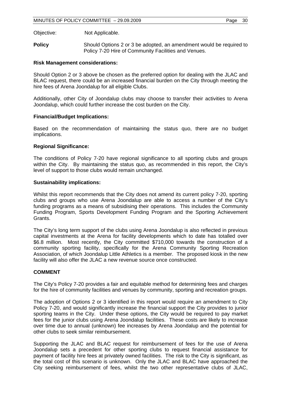Objective: Not Applicable.

**Policy** Should Options 2 or 3 be adopted, an amendment would be required to Policy 7-20 Hire of Community Facilities and Venues.

# **Risk Management considerations:**

Should Option 2 or 3 above be chosen as the preferred option for dealing with the JLAC and BLAC request, there could be an increased financial burden on the City through meeting the hire fees of Arena Joondalup for all eligible Clubs.

Additionally, other City of Joondalup clubs may choose to transfer their activities to Arena Joondalup, which could further increase the cost burden on the City.

# **Financial/Budget Implications:**

Based on the recommendation of maintaining the status quo, there are no budget implications.

# **Regional Significance:**

The conditions of Policy 7-20 have regional significance to all sporting clubs and groups within the City. By maintaining the status quo, as recommended in this report, the City's level of support to those clubs would remain unchanged.

# **Sustainability implications:**

Whilst this report recommends that the City does not amend its current policy 7-20, sporting clubs and groups who use Arena Joondalup are able to access a number of the City's funding programs as a means of subsidising their operations. This includes the Community Funding Program, Sports Development Funding Program and the Sporting Achievement Grants.

The City's long term support of the clubs using Arena Joondalup is also reflected in previous capital investments at the Arena for facility developments which to date has totalled over \$6.8 million. Most recently, the City committed \$710,000 towards the construction of a community sporting facility, specifically for the Arena Community Sporting Recreation Association, of which Joondalup Little Athletics is a member. The proposed kiosk in the new facility will also offer the JLAC a new revenue source once constructed.

# **COMMENT**

The City's Policy 7-20 provides a fair and equitable method for determining fees and charges for the hire of community facilities and venues by community, sporting and recreation groups.

The adoption of Options 2 or 3 identified in this report would require an amendment to City Policy 7-20, and would significantly increase the financial support the City provides to junior sporting teams in the City. Under these options, the City would be required to pay market fees for the junior clubs using Arena Joondalup facilities. These costs are likely to increase over time due to annual (unknown) fee increases by Arena Joondalup and the potential for other clubs to seek similar reimbursement.

Supporting the JLAC and BLAC request for reimbursement of fees for the use of Arena Joondalup sets a precedent for other sporting clubs to request financial assistance for payment of facility hire fees at privately owned facilities. The risk to the City is significant, as the total cost of this scenario is unknown. Only the JLAC and BLAC have approached the City seeking reimbursement of fees, whilst the two other representative clubs of JLAC,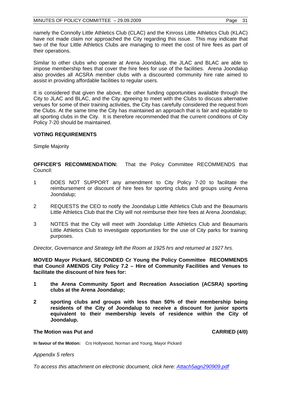namely the Connolly Little Athletics Club (CLAC) and the Kinross Little Athletics Club (KLAC) have not made claim nor approached the City regarding this issue. This may indicate that two of the four Little Athletics Clubs are managing to meet the cost of hire fees as part of their operations.

Similar to other clubs who operate at Arena Joondalup, the JLAC and BLAC are able to impose membership fees that cover the hire fees for use of the facilities. Arena Joondalup also provides all ACSRA member clubs with a discounted community hire rate aimed to assist in providing affordable facilities to regular users.

It is considered that given the above, the other funding opportunities available through the City to JLAC and BLAC, and the City agreeing to meet with the Clubs to discuss alternative venues for some of their training activities, the City has carefully considered the request from the Clubs. At the same time the City has maintained an approach that is fair and equitable to all sporting clubs in the City. It is therefore recommended that the current conditions of City Policy 7-20 should be maintained.

# **VOTING REQUIREMENTS**

Simple Majority

**OFFICER'S RECOMMENDATION:** That the Policy Committee RECOMMENDS that Council:

- 1 DOES NOT SUPPORT any amendment to City Policy 7-20 to facilitate the reimbursement or discount of hire fees for sporting clubs and groups using Arena Joondalup;
- 2 REQUESTS the CEO to notify the Joondalup Little Athletics Club and the Beaumaris Little Athletics Club that the City will not reimburse their hire fees at Arena Joondalup;
- 3 NOTES that the City will meet with Joondalup Little Athletics Club and Beaumaris Little Athletics Club to investigate opportunities for the use of City parks for training purposes.

*Director, Governance and Strategy left the Room at 1925 hrs and returned at 1927 hrs.* 

**MOVED Mayor Pickard, SECONDED Cr Young the Policy Committee RECOMMENDS that Council AMENDS City Policy 7.2 – Hire of Community Facilities and Venues to facilitate the discount of hire fees for:** 

- **1 the Arena Community Sport and Recreation Association (ACSRA) sporting clubs at the Arena Joondalup;**
- **2 sporting clubs and groups with less than 50% of their membership being residents of the City of Joondalup to receive a discount for junior sports equivalent to their membership levels of residence within the City of Joondalup.**

#### **The Motion was Put and CARRIED (4/0) CARRIED (4/0)**

**In favour of the Motion:** Crs Hollywood, Norman and Young, Mayor Pickard

*Appendix 5 refers* 

*To access this attachment on electronic document, click here:<Attach5agn290909.pdf>*